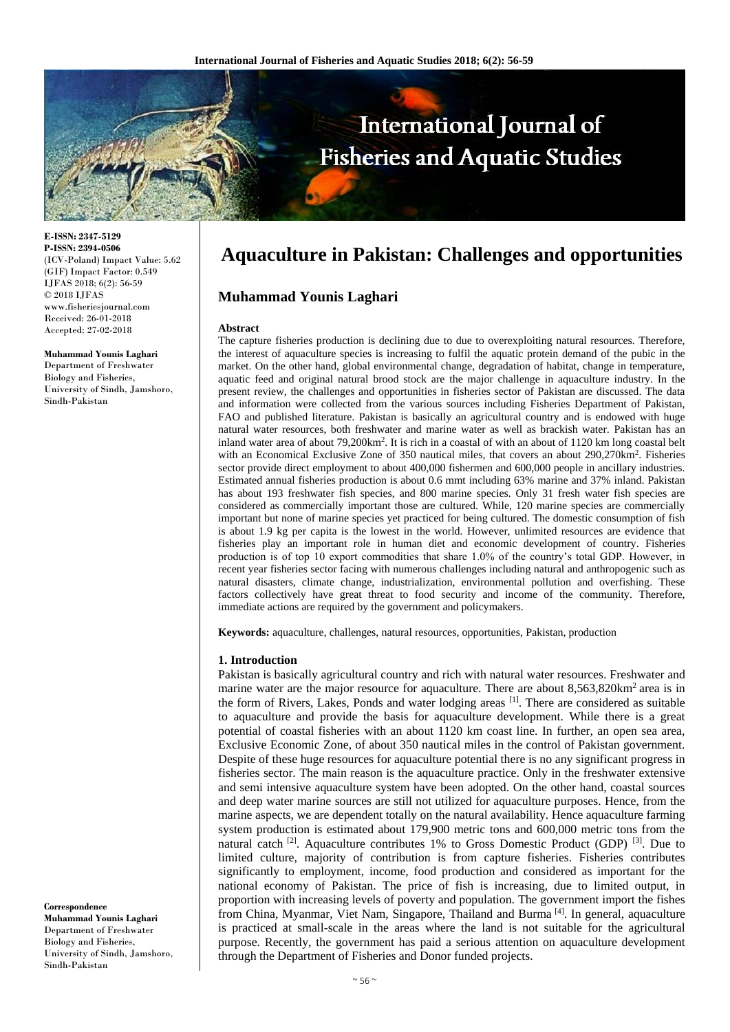

**E-ISSN: 2347-5129 P-ISSN: 2394-0506** (ICV-Poland) Impact Value: 5.62 (GIF) Impact Factor: 0.549 IJFAS 2018; 6(2): 56-59 © 2018 IJFAS www.fisheriesjournal.com Received: 26-01-2018 Accepted: 27-02-2018

#### **Muhammad Younis Laghari**

Department of Freshwater Biology and Fisheries, University of Sindh, Jamshoro, Sindh-Pakistan

**Correspondence Muhammad Younis Laghari** Department of Freshwater Biology and Fisheries, University of Sindh, Jamshoro, Sindh-Pakistan

# **Aquaculture in Pakistan: Challenges and opportunities**

## **Muhammad Younis Laghari**

#### **Abstract**

The capture fisheries production is declining due to due to overexploiting natural resources. Therefore, the interest of aquaculture species is increasing to fulfil the aquatic protein demand of the pubic in the market. On the other hand, global environmental change, degradation of habitat, change in temperature, aquatic feed and original natural brood stock are the major challenge in aquaculture industry. In the present review, the challenges and opportunities in fisheries sector of Pakistan are discussed. The data and information were collected from the various sources including Fisheries Department of Pakistan, FAO and published literature. Pakistan is basically an agricultural country and is endowed with huge natural water resources, both freshwater and marine water as well as brackish water. Pakistan has an inland water area of about 79,200km<sup>2</sup>. It is rich in a coastal of with an about of 1120 km long coastal belt with an Economical Exclusive Zone of 350 nautical miles, that covers an about 290,270km<sup>2</sup>. Fisheries sector provide direct employment to about 400,000 fishermen and 600,000 people in ancillary industries. Estimated annual fisheries production is about 0.6 mmt including 63% marine and 37% inland. Pakistan has about 193 freshwater fish species, and 800 marine species. Only 31 fresh water fish species are considered as commercially important those are cultured. While, 120 marine species are commercially important but none of marine species yet practiced for being cultured. The domestic consumption of fish is about 1.9 kg per capita is the lowest in the world. However, unlimited resources are evidence that fisheries play an important role in human diet and economic development of country. Fisheries production is of top 10 export commodities that share 1.0% of the country's total GDP. However, in recent year fisheries sector facing with numerous challenges including natural and anthropogenic such as natural disasters, climate change, industrialization, environmental pollution and overfishing. These factors collectively have great threat to food security and income of the community. Therefore, immediate actions are required by the government and policymakers.

**Keywords:** aquaculture, challenges, natural resources, opportunities, Pakistan, production

#### **1. Introduction**

Pakistan is basically agricultural country and rich with natural water resources. Freshwater and marine water are the major resource for aquaculture. There are about  $8,563,820$  km<sup>2</sup> area is in the form of Rivers, Lakes, Ponds and water lodging areas [1]. There are considered as suitable to aquaculture and provide the basis for aquaculture development. While there is a great potential of coastal fisheries with an about 1120 km coast line. In further, an open sea area, Exclusive Economic Zone, of about 350 nautical miles in the control of Pakistan government. Despite of these huge resources for aquaculture potential there is no any significant progress in fisheries sector. The main reason is the aquaculture practice. Only in the freshwater extensive and semi intensive aquaculture system have been adopted. On the other hand, coastal sources and deep water marine sources are still not utilized for aquaculture purposes. Hence, from the marine aspects, we are dependent totally on the natural availability. Hence aquaculture farming system production is estimated about 179,900 metric tons and 600,000 metric tons from the natural catch <sup>[2]</sup>. Aquaculture contributes 1% to Gross Domestic Product (GDP) <sup>[3]</sup>. Due to limited culture, majority of contribution is from capture fisheries. Fisheries contributes significantly to employment, income, food production and considered as important for the national economy of Pakistan. The price of fish is increasing, due to limited output, in proportion with increasing levels of poverty and population. The government import the fishes from China, Myanmar, Viet Nam, Singapore, Thailand and Burma [4]. In general, aquaculture is practiced at small-scale in the areas where the land is not suitable for the agricultural purpose. Recently, the government has paid a serious attention on aquaculture development through the Department of Fisheries and Donor funded projects.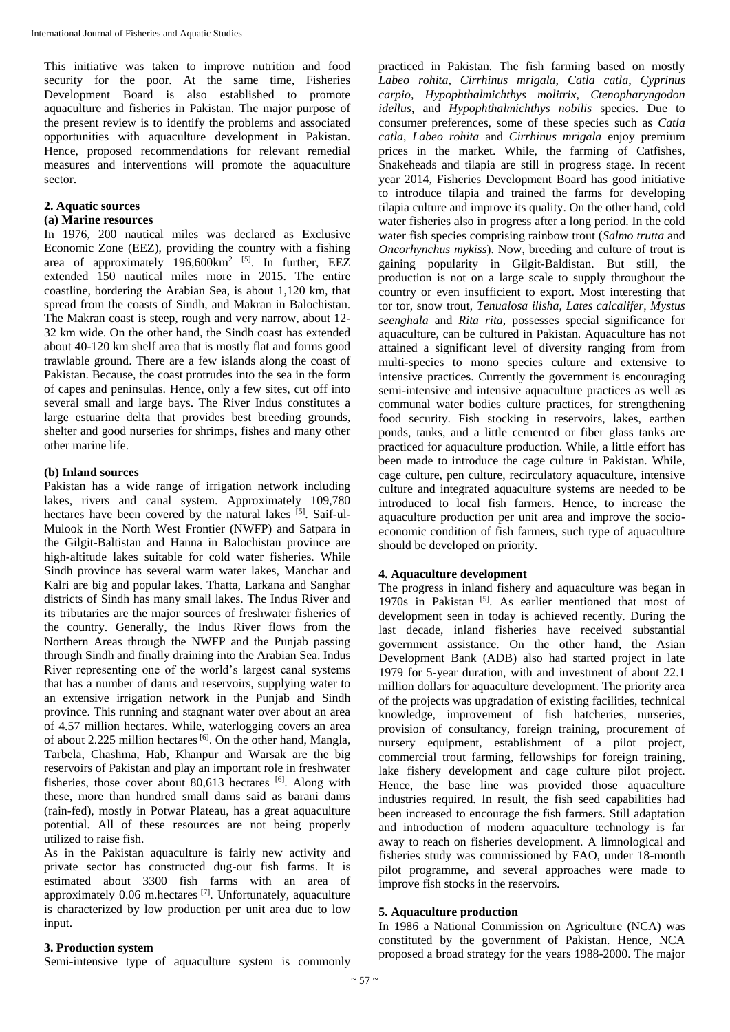This initiative was taken to improve nutrition and food security for the poor. At the same time, Fisheries Development Board is also established to promote aquaculture and fisheries in Pakistan. The major purpose of the present review is to identify the problems and associated opportunities with aquaculture development in Pakistan. Hence, proposed recommendations for relevant remedial measures and interventions will promote the aquaculture sector.

#### **2. Aquatic sources**

#### **(a) Marine resources**

In 1976, 200 nautical miles was declared as Exclusive Economic Zone (EEZ), providing the country with a fishing area of approximately 196,600km<sup>2 [5]</sup>. In further, EEZ extended 150 nautical miles more in 2015. The entire coastline, bordering the Arabian Sea, is about 1,120 km, that spread from the coasts of Sindh, and Makran in Balochistan. The Makran coast is steep, rough and very narrow, about 12- 32 km wide. On the other hand, the Sindh coast has extended about 40-120 km shelf area that is mostly flat and forms good trawlable ground. There are a few islands along the coast of Pakistan. Because, the coast protrudes into the sea in the form of capes and peninsulas. Hence, only a few sites, cut off into several small and large bays. The River Indus constitutes a large estuarine delta that provides best breeding grounds, shelter and good nurseries for shrimps, fishes and many other other marine life.

#### **(b) Inland sources**

Pakistan has a wide range of irrigation network including lakes, rivers and canal system. Approximately 109,780 hectares have been covered by the natural lakes  $[5]$ . Saif-ul-Mulook in the North West Frontier (NWFP) and Satpara in the Gilgit-Baltistan and Hanna in Balochistan province are high-altitude lakes suitable for cold water fisheries. While Sindh province has several warm water lakes, Manchar and Kalri are big and popular lakes. Thatta, Larkana and Sanghar districts of Sindh has many small lakes. The Indus River and its tributaries are the major sources of freshwater fisheries of the country. Generally, the Indus River flows from the Northern Areas through the NWFP and the Punjab passing through Sindh and finally draining into the Arabian Sea. Indus River representing one of the world's largest canal systems that has a number of dams and reservoirs, supplying water to an extensive irrigation network in the Punjab and Sindh province. This running and stagnant water over about an area of 4.57 million hectares. While, waterlogging covers an area of about 2.225 million hectares<sup>[6]</sup>. On the other hand, Mangla, Tarbela, Chashma, Hab, Khanpur and Warsak are the big reservoirs of Pakistan and play an important role in freshwater fisheries, those cover about  $80,613$  hectares <sup>[6]</sup>. Along with these, more than hundred small dams said as barani dams (rain-fed), mostly in Potwar Plateau, has a great aquaculture potential. All of these resources are not being properly utilized to raise fish.

As in the Pakistan aquaculture is fairly new activity and private sector has constructed dug-out fish farms. It is estimated about 3300 fish farms with an area of approximately  $0.06$  m.hectares  $^{[7]}$ . Unfortunately, aquaculture is characterized by low production per unit area due to low input.

# **3. Production system**

Semi-intensive type of aquaculture system is commonly

practiced in Pakistan. The fish farming based on mostly *Labeo rohita*, *Cirrhinus mrigala*, *Catla catla*, *Cyprinus carpio*, *Hypophthalmichthys molitrix*, *Ctenopharyngodon idellus*, and *Hypophthalmichthys nobilis* species. Due to consumer preferences, some of these species such as *Catla catla*, *Labeo rohita* and *Cirrhinus mrigala* enjoy premium prices in the market. While, the farming of Catfishes, Snakeheads and tilapia are still in progress stage. In recent year 2014, Fisheries Development Board has good initiative to introduce tilapia and trained the farms for developing tilapia culture and improve its quality. On the other hand, cold water fisheries also in progress after a long period. In the cold water fish species comprising rainbow trout (*Salmo trutta* and *Oncorhynchus mykiss*). Now, breeding and culture of trout is gaining popularity in Gilgit-Baldistan. But still, the production is not on a large scale to supply throughout the country or even insufficient to export. Most interesting that tor tor, snow trout, *Tenualosa ilisha*, *Lates calcalifer*, *Mystus seenghala* and *Rita rita*, possesses special significance for aquaculture, can be cultured in Pakistan. Aquaculture has not attained a significant level of diversity ranging from from multi-species to mono species culture and extensive to intensive practices. Currently the government is encouraging semi-intensive and intensive aquaculture practices as well as communal water bodies culture practices, for strengthening food security. Fish stocking in reservoirs, lakes, earthen ponds, tanks, and a little cemented or fiber glass tanks are practiced for aquaculture production. While, a little effort has been made to introduce the cage culture in Pakistan. While, cage culture, pen culture, recirculatory aquaculture, intensive culture and integrated aquaculture systems are needed to be introduced to local fish farmers. Hence, to increase the aquaculture production per unit area and improve the socioeconomic condition of fish farmers, such type of aquaculture should be developed on priority.

#### **4. Aquaculture development**

The progress in inland fishery and aquaculture was began in 1970s in Pakistan  $[5]$ . As earlier mentioned that most of development seen in today is achieved recently. During the last decade, inland fisheries have received substantial government assistance. On the other hand, the Asian Development Bank (ADB) also had started project in late 1979 for 5-year duration, with and investment of about 22.1 million dollars for aquaculture development. The priority area of the projects was upgradation of existing facilities, technical knowledge, improvement of fish hatcheries, nurseries, provision of consultancy, foreign training, procurement of nursery equipment, establishment of a pilot project, commercial trout farming, fellowships for foreign training, lake fishery development and cage culture pilot project. Hence, the base line was provided those aquaculture industries required. In result, the fish seed capabilities had been increased to encourage the fish farmers. Still adaptation and introduction of modern aquaculture technology is far away to reach on fisheries development. A limnological and fisheries study was commissioned by FAO, under 18-month pilot programme, and several approaches were made to improve fish stocks in the reservoirs.

#### **5. Aquaculture production**

In 1986 a National Commission on Agriculture (NCA) was constituted by the government of Pakistan. Hence, NCA proposed a broad strategy for the years 1988-2000. The major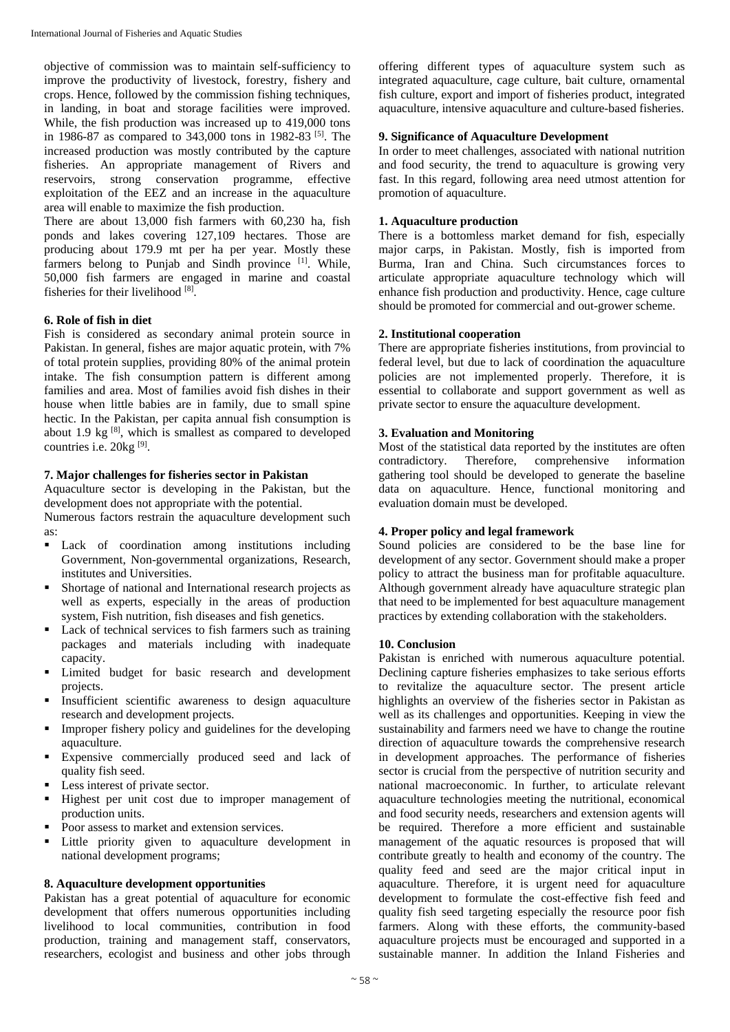objective of commission was to maintain self-sufficiency to improve the productivity of livestock, forestry, fishery and crops. Hence, followed by the commission fishing techniques, in landing, in boat and storage facilities were improved. While, the fish production was increased up to 419,000 tons in 1986-87 as compared to 343,000 tons in 1982-83 [5]. The increased production was mostly contributed by the capture fisheries. An appropriate management of Rivers and reservoirs, strong conservation programme, effective exploitation of the EEZ and an increase in the aquaculture area will enable to maximize the fish production.

There are about 13,000 fish farmers with 60,230 ha, fish ponds and lakes covering 127,109 hectares. Those are producing about 179.9 mt per ha per year. Mostly these farmers belong to Punjab and Sindh province [1]. While, 50,000 fish farmers are engaged in marine and coastal fisheries for their livelihood [8] .

## **6. Role of fish in diet**

Fish is considered as secondary animal protein source in Pakistan. In general, fishes are major aquatic protein, with 7% of total protein supplies, providing 80% of the animal protein intake. The fish consumption pattern is different among families and area. Most of families avoid fish dishes in their house when little babies are in family, due to small spine hectic. In the Pakistan, per capita annual fish consumption is about 1.9 kg  $[8]$ , which is smallest as compared to developed countries i.e. 20kg<sup>[9]</sup>.

#### **7. Major challenges for fisheries sector in Pakistan**

Aquaculture sector is developing in the Pakistan, but the development does not appropriate with the potential.

Numerous factors restrain the aquaculture development such as:

- **Lack** of coordination among institutions including Government, Non-governmental organizations, Research, institutes and Universities.
- Shortage of national and International research projects as well as experts, especially in the areas of production system, Fish nutrition, fish diseases and fish genetics.
- Lack of technical services to fish farmers such as training packages and materials including with inadequate capacity.
- Limited budget for basic research and development projects.
- Insufficient scientific awareness to design aquaculture research and development projects.
- Improper fishery policy and guidelines for the developing aquaculture.
- Expensive commercially produced seed and lack of quality fish seed.
- Less interest of private sector.
- Highest per unit cost due to improper management of production units.
- Poor assess to market and extension services.
- Little priority given to aquaculture development in national development programs;

# **8. Aquaculture development opportunities**

Pakistan has a great potential of aquaculture for economic development that offers numerous opportunities including livelihood to local communities, contribution in food production, training and management staff, conservators, researchers, ecologist and business and other jobs through

offering different types of aquaculture system such as integrated aquaculture, cage culture, bait culture, ornamental fish culture, export and import of fisheries product, integrated aquaculture, intensive aquaculture and culture-based fisheries.

# **9. Significance of Aquaculture Development**

In order to meet challenges, associated with national nutrition and food security, the trend to aquaculture is growing very fast. In this regard, following area need utmost attention for promotion of aquaculture.

# **1. Aquaculture production**

There is a bottomless market demand for fish, especially major carps, in Pakistan. Mostly, fish is imported from Burma, Iran and China. Such circumstances forces to articulate appropriate aquaculture technology which will enhance fish production and productivity. Hence, cage culture should be promoted for commercial and out-grower scheme.

## **2. Institutional cooperation**

There are appropriate fisheries institutions, from provincial to federal level, but due to lack of coordination the aquaculture policies are not implemented properly. Therefore, it is essential to collaborate and support government as well as private sector to ensure the aquaculture development.

## **3. Evaluation and Monitoring**

Most of the statistical data reported by the institutes are often contradictory. Therefore, comprehensive information gathering tool should be developed to generate the baseline data on aquaculture. Hence, functional monitoring and evaluation domain must be developed.

#### **4. Proper policy and legal framework**

Sound policies are considered to be the base line for development of any sector. Government should make a proper policy to attract the business man for profitable aquaculture. Although government already have aquaculture strategic plan that need to be implemented for best aquaculture management practices by extending collaboration with the stakeholders.

#### **10. Conclusion**

Pakistan is enriched with numerous aquaculture potential. Declining capture fisheries emphasizes to take serious efforts to revitalize the aquaculture sector. The present article highlights an overview of the fisheries sector in Pakistan as well as its challenges and opportunities. Keeping in view the sustainability and farmers need we have to change the routine direction of aquaculture towards the comprehensive research in development approaches. The performance of fisheries sector is crucial from the perspective of nutrition security and national macroeconomic. In further, to articulate relevant aquaculture technologies meeting the nutritional, economical and food security needs, researchers and extension agents will be required. Therefore a more efficient and sustainable management of the aquatic resources is proposed that will contribute greatly to health and economy of the country. The quality feed and seed are the major critical input in aquaculture. Therefore, it is urgent need for aquaculture development to formulate the cost-effective fish feed and quality fish seed targeting especially the resource poor fish farmers. Along with these efforts, the community-based aquaculture projects must be encouraged and supported in a sustainable manner. In addition the Inland Fisheries and